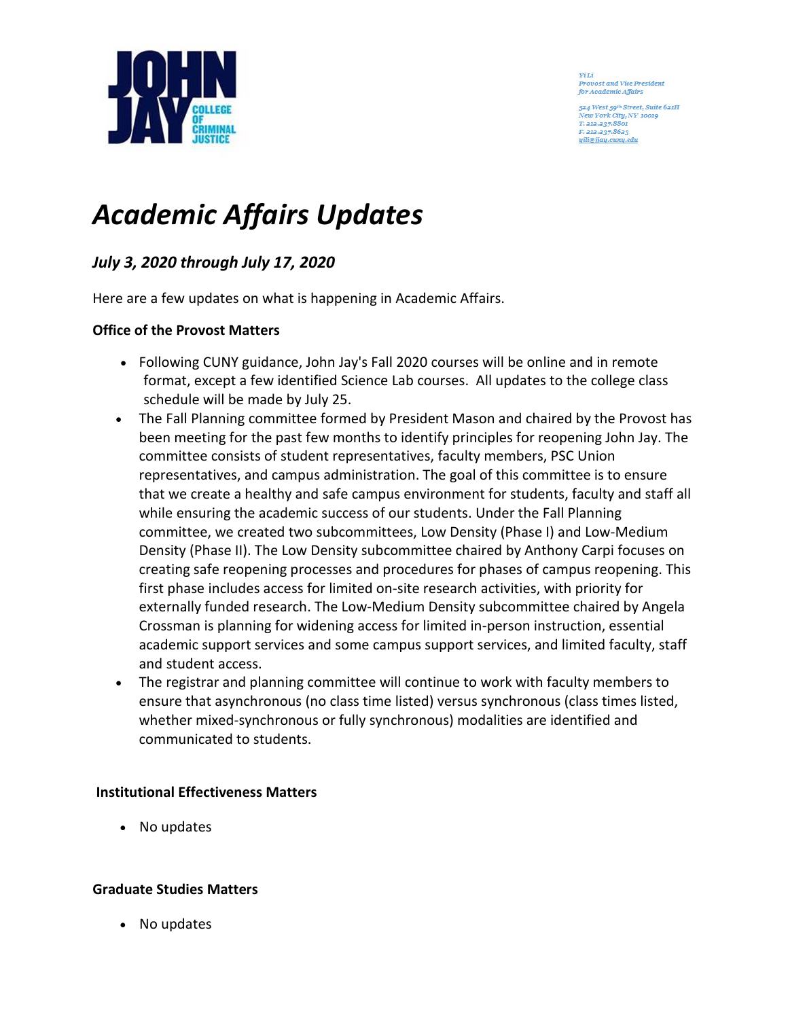

**ViLi Provost and Vice President** for Academic Affairs

524 West 59th Street, Suite 621H Tew York City, NY 10019 T. 212.237.8801 F. 212.237.8623 *uili@jiau.cumu.edu* 

# *Academic Affairs Updates*

# *July 3, 2020 through July 17, 2020*

Here are a few updates on what is happening in Academic Affairs.

# **Office of the Provost Matters**

- Following CUNY guidance, John Jay's Fall 2020 courses will be online and in remote format, except a few identified Science Lab courses. All updates to the college class schedule will be made by July 25.
- The Fall Planning committee formed by President Mason and chaired by the Provost has been meeting for the past few months to identify principles for reopening John Jay. The committee consists of student representatives, faculty members, PSC Union representatives, and campus administration. The goal of this committee is to ensure that we create a healthy and safe campus environment for students, faculty and staff all while ensuring the academic success of our students. Under the Fall Planning committee, we created two subcommittees, Low Density (Phase I) and Low-Medium Density (Phase II). The Low Density subcommittee chaired by Anthony Carpi focuses on creating safe reopening processes and procedures for phases of campus reopening. This first phase includes access for limited on-site research activities, with priority for externally funded research. The Low-Medium Density subcommittee chaired by Angela Crossman is planning for widening access for limited in-person instruction, essential academic support services and some campus support services, and limited faculty, staff and student access.
- The registrar and planning committee will continue to work with faculty members to ensure that asynchronous (no class time listed) versus synchronous (class times listed, whether mixed-synchronous or fully synchronous) modalities are identified and communicated to students.

# **Institutional Effectiveness Matters**

• No updates

# **Graduate Studies Matters**

• No updates